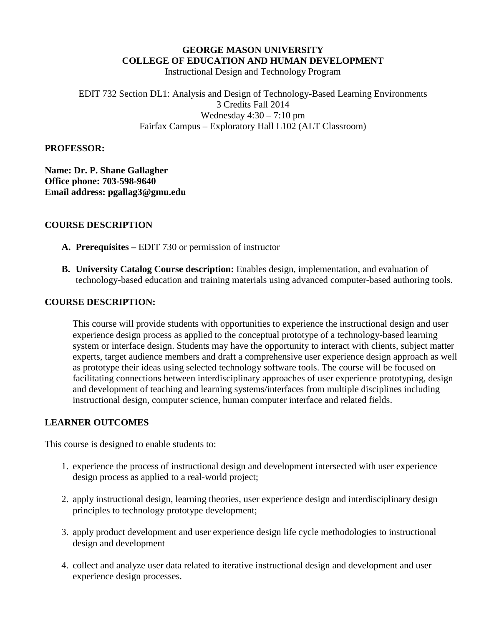### **GEORGE MASON UNIVERSITY COLLEGE OF EDUCATION AND HUMAN DEVELOPMENT**

Instructional Design and Technology Program

EDIT 732 Section DL1: Analysis and Design of Technology-Based Learning Environments 3 Credits Fall 2014 Wednesday  $4:30 - 7:10$  pm Fairfax Campus – Exploratory Hall L102 (ALT Classroom)

#### **PROFESSOR:**

**Name: Dr. P. Shane Gallagher Office phone: 703-598-9640 Email address: pgallag3@gmu.edu**

### **COURSE DESCRIPTION**

- **A. Prerequisites –** EDIT 730 or permission of instructor
- **B. University Catalog Course description:** Enables design, implementation, and evaluation of technology-based education and training materials using advanced computer-based authoring tools.

### **COURSE DESCRIPTION:**

This course will provide students with opportunities to experience the instructional design and user experience design process as applied to the conceptual prototype of a technology-based learning system or interface design. Students may have the opportunity to interact with clients, subject matter experts, target audience members and draft a comprehensive user experience design approach as well as prototype their ideas using selected technology software tools. The course will be focused on facilitating connections between interdisciplinary approaches of user experience prototyping, design and development of teaching and learning systems/interfaces from multiple disciplines including instructional design, computer science, human computer interface and related fields.

### **LEARNER OUTCOMES**

This course is designed to enable students to:

- 1. experience the process of instructional design and development intersected with user experience design process as applied to a real-world project;
- 2. apply instructional design, learning theories, user experience design and interdisciplinary design principles to technology prototype development;
- 3. apply product development and user experience design life cycle methodologies to instructional design and development
- 4. collect and analyze user data related to iterative instructional design and development and user experience design processes.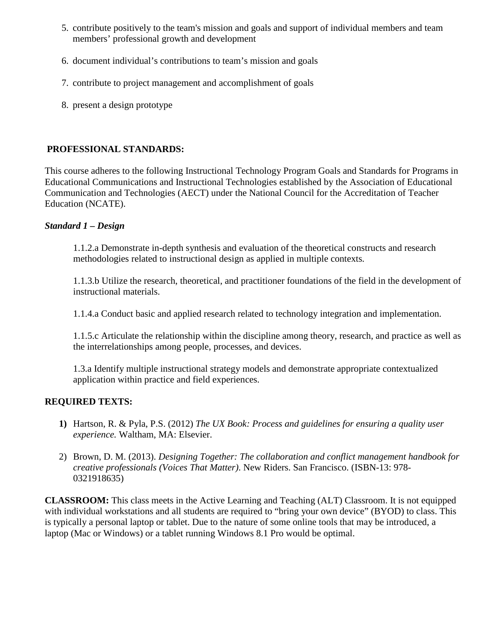- 5. contribute positively to the team's mission and goals and support of individual members and team members' professional growth and development
- 6. document individual's contributions to team's mission and goals
- 7. contribute to project management and accomplishment of goals
- 8. present a design prototype

## **PROFESSIONAL STANDARDS:**

This course adheres to the following Instructional Technology Program Goals and Standards for Programs in Educational Communications and Instructional Technologies established by the Association of Educational Communication and Technologies (AECT) under the National Council for the Accreditation of Teacher Education (NCATE).

## *Standard 1 – Design*

1.1.2.a Demonstrate in-depth synthesis and evaluation of the theoretical constructs and research methodologies related to instructional design as applied in multiple contexts.

1.1.3.b Utilize the research, theoretical, and practitioner foundations of the field in the development of instructional materials.

1.1.4.a Conduct basic and applied research related to technology integration and implementation.

1.1.5.c Articulate the relationship within the discipline among theory, research, and practice as well as the interrelationships among people, processes, and devices.

1.3.a Identify multiple instructional strategy models and demonstrate appropriate contextualized application within practice and field experiences.

## **REQUIRED TEXTS:**

- **1)** Hartson, R. & Pyla, P.S. (2012) *The UX Book: Process and guidelines for ensuring a quality user experience.* Waltham, MA: Elsevier.
- 2) Brown, D. M. (2013). *Designing Together: The collaboration and conflict management handbook for creative professionals (Voices That Matter)*. New Riders. San Francisco. (ISBN-13: 978- 0321918635)

**CLASSROOM:** This class meets in the Active Learning and Teaching (ALT) Classroom. It is not equipped with individual workstations and all students are required to "bring your own device" (BYOD) to class. This is typically a personal laptop or tablet. Due to the nature of some online tools that may be introduced, a laptop (Mac or Windows) or a tablet running Windows 8.1 Pro would be optimal.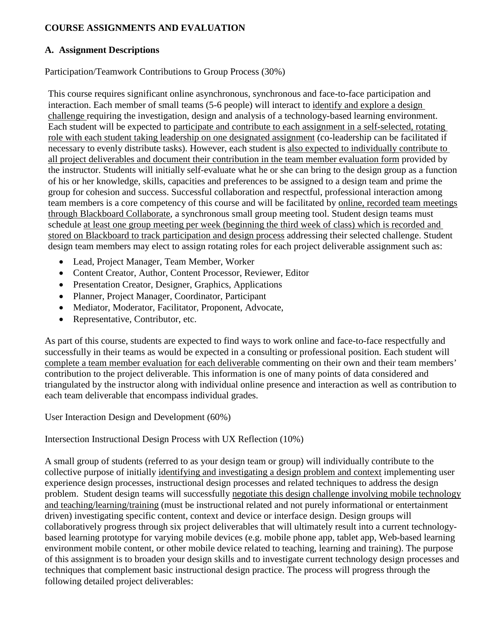# **COURSE ASSIGNMENTS AND EVALUATION**

### **A. Assignment Descriptions**

Participation/Teamwork Contributions to Group Process (30%)

This course requires significant online asynchronous, synchronous and face-to-face participation and interaction. Each member of small teams (5-6 people) will interact to identify and explore a design challenge requiring the investigation, design and analysis of a technology-based learning environment. Each student will be expected to participate and contribute to each assignment in a self-selected, rotating role with each student taking leadership on one designated assignment (co-leadership can be facilitated if necessary to evenly distribute tasks). However, each student is also expected to individually contribute to all project deliverables and document their contribution in the team member evaluation form provided by the instructor. Students will initially self-evaluate what he or she can bring to the design group as a function of his or her knowledge, skills, capacities and preferences to be assigned to a design team and prime the group for cohesion and success. Successful collaboration and respectful, professional interaction among team members is a core competency of this course and will be facilitated by online, recorded team meetings through Blackboard Collaborate, a synchronous small group meeting tool. Student design teams must schedule at least one group meeting per week (beginning the third week of class) which is recorded and stored on Blackboard to track participation and design process addressing their selected challenge. Student design team members may elect to assign rotating roles for each project deliverable assignment such as:

- Lead, Project Manager, Team Member, Worker
- Content Creator, Author, Content Processor, Reviewer, Editor
- Presentation Creator, Designer, Graphics, Applications
- Planner, Project Manager, Coordinator, Participant
- Mediator, Moderator, Facilitator, Proponent, Advocate,
- Representative, Contributor, etc.

As part of this course, students are expected to find ways to work online and face-to-face respectfully and successfully in their teams as would be expected in a consulting or professional position. Each student will complete a team member evaluation for each deliverable commenting on their own and their team members' contribution to the project deliverable. This information is one of many points of data considered and triangulated by the instructor along with individual online presence and interaction as well as contribution to each team deliverable that encompass individual grades.

User Interaction Design and Development (60%)

Intersection Instructional Design Process with UX Reflection (10%)

A small group of students (referred to as your design team or group) will individually contribute to the collective purpose of initially identifying and investigating a design problem and context implementing user experience design processes, instructional design processes and related techniques to address the design problem. Student design teams will successfully negotiate this design challenge involving mobile technology and teaching/learning/training (must be instructional related and not purely informational or entertainment driven) investigating specific content, context and device or interface design. Design groups will collaboratively progress through six project deliverables that will ultimately result into a current technologybased learning prototype for varying mobile devices (e.g. mobile phone app, tablet app, Web-based learning environment mobile content, or other mobile device related to teaching, learning and training). The purpose of this assignment is to broaden your design skills and to investigate current technology design processes and techniques that complement basic instructional design practice. The process will progress through the following detailed project deliverables: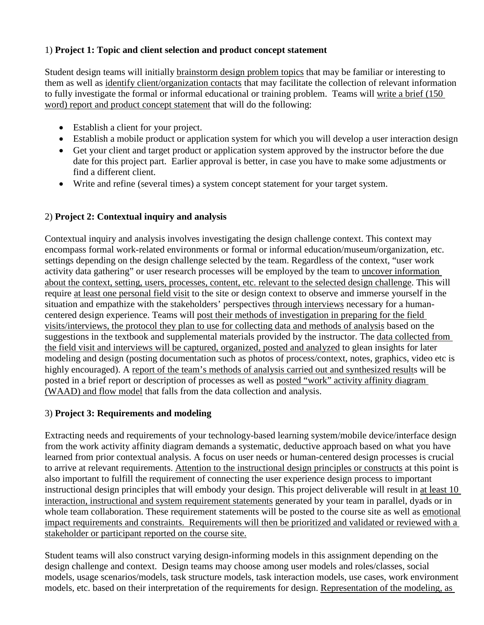# 1) **Project 1: Topic and client selection and product concept statement**

Student design teams will initially brainstorm design problem topics that may be familiar or interesting to them as well as identify client/organization contacts that may facilitate the collection of relevant information to fully investigate the formal or informal educational or training problem. Teams will write a brief (150 word) report and product concept statement that will do the following:

- Establish a client for your project.
- Establish a mobile product or application system for which you will develop a user interaction design
- Get your client and target product or application system approved by the instructor before the due date for this project part. Earlier approval is better, in case you have to make some adjustments or find a different client.
- Write and refine (several times) a system concept statement for your target system.

# 2) **Project 2: Contextual inquiry and analysis**

Contextual inquiry and analysis involves investigating the design challenge context. This context may encompass formal work-related environments or formal or informal education/museum/organization, etc. settings depending on the design challenge selected by the team. Regardless of the context, "user work activity data gathering" or user research processes will be employed by the team to uncover information about the context, setting, users, processes, content, etc. relevant to the selected design challenge. This will require at least one personal field visit to the site or design context to observe and immerse yourself in the situation and empathize with the stakeholders' perspectives through interviews necessary for a humancentered design experience. Teams will post their methods of investigation in preparing for the field visits/interviews, the protocol they plan to use for collecting data and methods of analysis based on the suggestions in the textbook and supplemental materials provided by the instructor. The data collected from the field visit and interviews will be captured, organized, posted and analyzed to glean insights for later modeling and design (posting documentation such as photos of process/context, notes, graphics, video etc is highly encouraged). A report of the team's methods of analysis carried out and synthesized results will be posted in a brief report or description of processes as well as posted "work" activity affinity diagram (WAAD) and flow model that falls from the data collection and analysis.

## 3) **Project 3: Requirements and modeling**

Extracting needs and requirements of your technology-based learning system/mobile device/interface design from the work activity affinity diagram demands a systematic, deductive approach based on what you have learned from prior contextual analysis. A focus on user needs or human-centered design processes is crucial to arrive at relevant requirements. Attention to the instructional design principles or constructs at this point is also important to fulfill the requirement of connecting the user experience design process to important instructional design principles that will embody your design. This project deliverable will result in at least 10 interaction, instructional and system requirement statements generated by your team in parallel, dyads or in whole team collaboration. These requirement statements will be posted to the course site as well as emotional impact requirements and constraints. Requirements will then be prioritized and validated or reviewed with a stakeholder or participant reported on the course site.

Student teams will also construct varying design-informing models in this assignment depending on the design challenge and context. Design teams may choose among user models and roles/classes, social models, usage scenarios/models, task structure models, task interaction models, use cases, work environment models, etc. based on their interpretation of the requirements for design. Representation of the modeling, as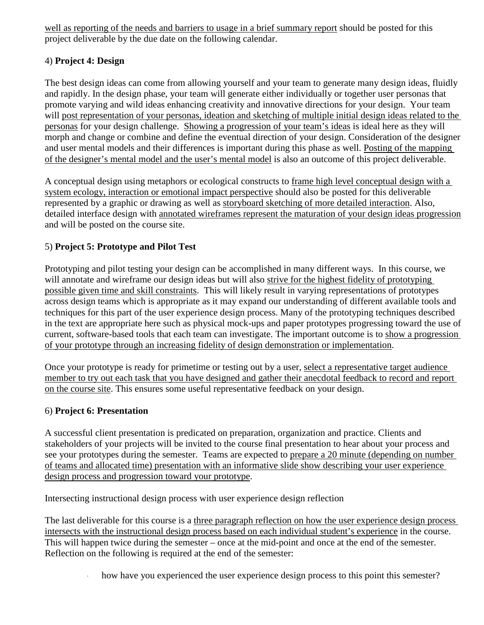well as reporting of the needs and barriers to usage in a brief summary report should be posted for this project deliverable by the due date on the following calendar.

# 4) **Project 4: Design**

The best design ideas can come from allowing yourself and your team to generate many design ideas, fluidly and rapidly. In the design phase, your team will generate either individually or together user personas that promote varying and wild ideas enhancing creativity and innovative directions for your design. Your team will post representation of your personas, ideation and sketching of multiple initial design ideas related to the personas for your design challenge. Showing a progression of your team's ideas is ideal here as they will morph and change or combine and define the eventual direction of your design. Consideration of the designer and user mental models and their differences is important during this phase as well. Posting of the mapping of the designer's mental model and the user's mental model is also an outcome of this project deliverable.

A conceptual design using metaphors or ecological constructs to frame high level conceptual design with a system ecology, interaction or emotional impact perspective should also be posted for this deliverable represented by a graphic or drawing as well as storyboard sketching of more detailed interaction. Also, detailed interface design with annotated wireframes represent the maturation of your design ideas progression and will be posted on the course site.

# 5) **Project 5: Prototype and Pilot Test**

Prototyping and pilot testing your design can be accomplished in many different ways. In this course, we will annotate and wireframe our design ideas but will also strive for the highest fidelity of prototyping possible given time and skill constraints. This will likely result in varying representations of prototypes across design teams which is appropriate as it may expand our understanding of different available tools and techniques for this part of the user experience design process. Many of the prototyping techniques described in the text are appropriate here such as physical mock-ups and paper prototypes progressing toward the use of current, software-based tools that each team can investigate. The important outcome is to show a progression of your prototype through an increasing fidelity of design demonstration or implementation.

Once your prototype is ready for primetime or testing out by a user, select a representative target audience member to try out each task that you have designed and gather their anecdotal feedback to record and report on the course site. This ensures some useful representative feedback on your design.

# 6) **Project 6: Presentation**

A successful client presentation is predicated on preparation, organization and practice. Clients and stakeholders of your projects will be invited to the course final presentation to hear about your process and see your prototypes during the semester. Teams are expected to prepare a 20 minute (depending on number of teams and allocated time) presentation with an informative slide show describing your user experience design process and progression toward your prototype.

Intersecting instructional design process with user experience design reflection

The last deliverable for this course is a three paragraph reflection on how the user experience design process intersects with the instructional design process based on each individual student's experience in the course. This will happen twice during the semester – once at the mid-point and once at the end of the semester. Reflection on the following is required at the end of the semester:

how have you experienced the user experience design process to this point this semester?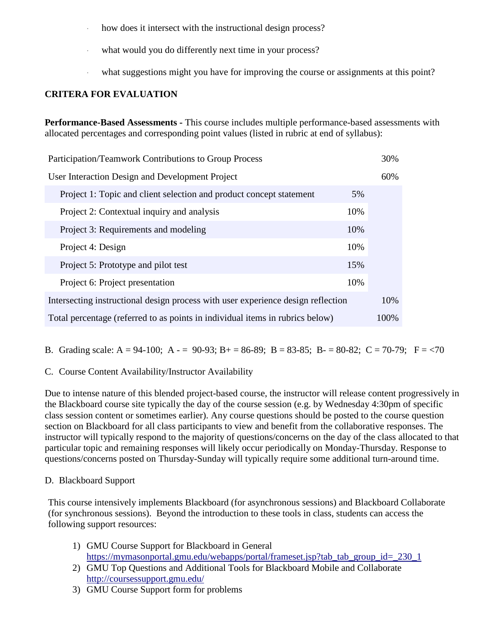- how does it intersect with the instructional design process?
- what would you do differently next time in your process?
- what suggestions might you have for improving the course or assignments at this point?

# **CRITERA FOR EVALUATION**

**Performance-Based Assessments -** This course includes multiple performance-based assessments with allocated percentages and corresponding point values (listed in rubric at end of syllabus):

| Participation/Teamwork Contributions to Group Process                            | 30%  |
|----------------------------------------------------------------------------------|------|
| User Interaction Design and Development Project                                  | 60%  |
| Project 1: Topic and client selection and product concept statement<br>5%        |      |
| 10%<br>Project 2: Contextual inquiry and analysis                                |      |
| 10%<br>Project 3: Requirements and modeling                                      |      |
| 10%<br>Project 4: Design                                                         |      |
| Project 5: Prototype and pilot test<br>15%                                       |      |
| 10%<br>Project 6: Project presentation                                           |      |
| Intersecting instructional design process with user experience design reflection | 10%  |
| Total percentage (referred to as points in individual items in rubrics below)    | 100% |

B. Grading scale: A = 94-100; A - = 90-93; B + = 86-89; B = 83-85; B - = 80-82; C = 70-79; F = <70

## C. Course Content Availability/Instructor Availability

Due to intense nature of this blended project-based course, the instructor will release content progressively in the Blackboard course site typically the day of the course session (e.g. by Wednesday 4:30pm of specific class session content or sometimes earlier). Any course questions should be posted to the course question section on Blackboard for all class participants to view and benefit from the collaborative responses. The instructor will typically respond to the majority of questions/concerns on the day of the class allocated to that particular topic and remaining responses will likely occur periodically on Monday-Thursday. Response to questions/concerns posted on Thursday-Sunday will typically require some additional turn-around time.

## D. Blackboard Support

This course intensively implements Blackboard (for asynchronous sessions) and Blackboard Collaborate (for synchronous sessions). Beyond the introduction to these tools in class, students can access the following support resources:

- 1) GMU Course Support for Blackboard in General [https://mymasonportal.gmu.edu/webapps/portal/frameset.jsp?tab\\_tab\\_group\\_id=\\_230\\_1](https://mymasonportal.gmu.edu/webapps/portal/frameset.jsp?tab_tab_group_id=_230_1)
- 2) GMU Top Questions and Additional Tools for Blackboard Mobile and Collaborate <http://coursessupport.gmu.edu/>
- 3) GMU Course Support form for problems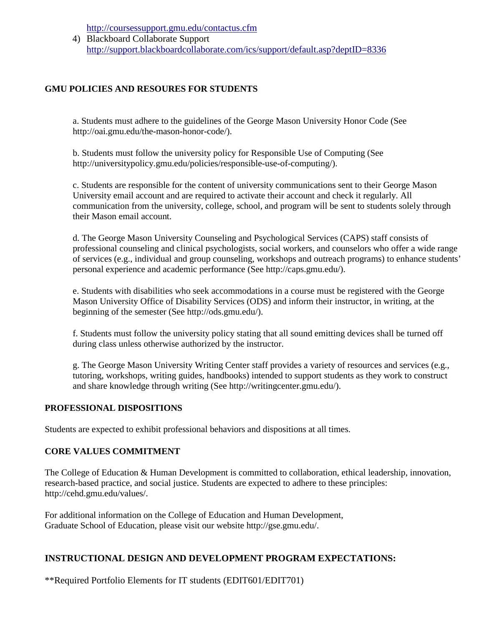<http://coursessupport.gmu.edu/contactus.cfm>

4) Blackboard Collaborate Support <http://support.blackboardcollaborate.com/ics/support/default.asp?deptID=8336>

## **GMU POLICIES AND RESOURES FOR STUDENTS**

a. Students must adhere to the guidelines of the George Mason University Honor Code (See http://oai.gmu.edu/the-mason-honor-code/).

b. Students must follow the university policy for Responsible Use of Computing (See http://universitypolicy.gmu.edu/policies/responsible-use-of-computing/).

c. Students are responsible for the content of university communications sent to their George Mason University email account and are required to activate their account and check it regularly. All communication from the university, college, school, and program will be sent to students solely through their Mason email account.

d. The George Mason University Counseling and Psychological Services (CAPS) staff consists of professional counseling and clinical psychologists, social workers, and counselors who offer a wide range of services (e.g., individual and group counseling, workshops and outreach programs) to enhance students' personal experience and academic performance (See http://caps.gmu.edu/).

e. Students with disabilities who seek accommodations in a course must be registered with the George Mason University Office of Disability Services (ODS) and inform their instructor, in writing, at the beginning of the semester (See http://ods.gmu.edu/).

f. Students must follow the university policy stating that all sound emitting devices shall be turned off during class unless otherwise authorized by the instructor.

g. The George Mason University Writing Center staff provides a variety of resources and services (e.g., tutoring, workshops, writing guides, handbooks) intended to support students as they work to construct and share knowledge through writing (See http://writingcenter.gmu.edu/).

### **PROFESSIONAL DISPOSITIONS**

Students are expected to exhibit professional behaviors and dispositions at all times.

### **CORE VALUES COMMITMENT**

The College of Education & Human Development is committed to collaboration, ethical leadership, innovation, research-based practice, and social justice. Students are expected to adhere to these principles: http://cehd.gmu.edu/values/.

For additional information on the College of Education and Human Development, Graduate School of Education, please visit our website http://gse.gmu.edu/.

## **INSTRUCTIONAL DESIGN AND DEVELOPMENT PROGRAM EXPECTATIONS:**

\*\*Required Portfolio Elements for IT students (EDIT601/EDIT701)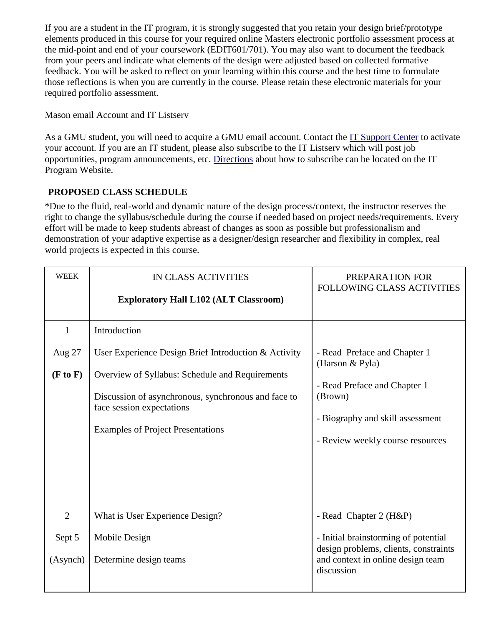If you are a student in the IT program, it is strongly suggested that you retain your design brief/prototype elements produced in this course for your required online Masters electronic portfolio assessment process at the mid-point and end of your coursework (EDIT601/701). You may also want to document the feedback from your peers and indicate what elements of the design were adjusted based on collected formative feedback. You will be asked to reflect on your learning within this course and the best time to formulate those reflections is when you are currently in the course. Please retain these electronic materials for your required portfolio assessment.

Mason email Account and IT Listserv

As a GMU student, you will need to acquire a GMU email account. Contact the [IT Support Center](http://itusupport.gmu.edu/student.asp) to activate your account. If you are an IT student, please also subscribe to the IT Listserv which will post job opportunities, program announcements, etc. [Directions](http://it.gse.gmu.edu/itlist.htm) about how to subscribe can be located on the IT Program Website.

# **PROPOSED CLASS SCHEDULE**

\*Due to the fluid, real-world and dynamic nature of the design process/context, the instructor reserves the right to change the syllabus/schedule during the course if needed based on project needs/requirements. Every effort will be made to keep students abreast of changes as soon as possible but professionalism and demonstration of your adaptive expertise as a designer/design researcher and flexibility in complex, real world projects is expected in this course.

| <b>WEEK</b>    | <b>IN CLASS ACTIVITIES</b>                                                                                                                                                      | PREPARATION FOR<br><b>FOLLOWING CLASS ACTIVITIES</b>                                                            |
|----------------|---------------------------------------------------------------------------------------------------------------------------------------------------------------------------------|-----------------------------------------------------------------------------------------------------------------|
|                | <b>Exploratory Hall L102 (ALT Classroom)</b>                                                                                                                                    |                                                                                                                 |
| $\mathbf{1}$   | Introduction                                                                                                                                                                    |                                                                                                                 |
| Aug 27         | User Experience Design Brief Introduction & Activity                                                                                                                            | - Read Preface and Chapter 1<br>(Harson & Pyla)                                                                 |
| (F to F)       | Overview of Syllabus: Schedule and Requirements<br>Discussion of asynchronous, synchronous and face to<br>face session expectations<br><b>Examples of Project Presentations</b> | - Read Preface and Chapter 1<br>(Brown)<br>- Biography and skill assessment<br>- Review weekly course resources |
| $\overline{2}$ | What is User Experience Design?                                                                                                                                                 | - Read Chapter 2 (H&P)                                                                                          |
| Sept 5         | Mobile Design                                                                                                                                                                   | - Initial brainstorming of potential<br>design problems, clients, constraints                                   |
| (Asynch)       | Determine design teams                                                                                                                                                          | and context in online design team<br>discussion                                                                 |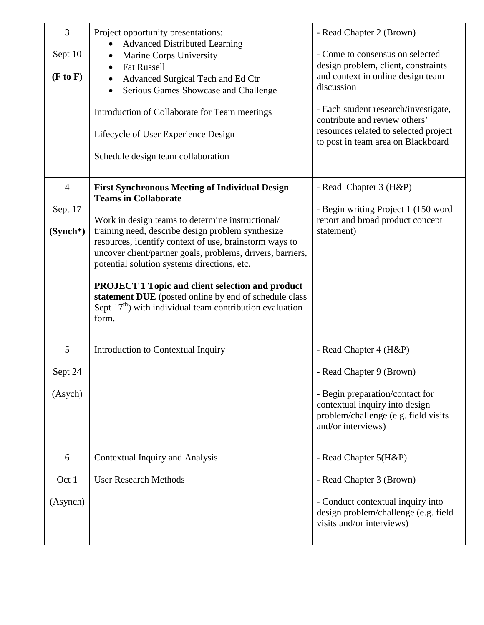| 3<br>Sept 10<br>(F to F)                | Project opportunity presentations:<br><b>Advanced Distributed Learning</b><br>Marine Corps University<br><b>Fat Russell</b><br>$\bullet$<br>Advanced Surgical Tech and Ed Ctr<br>$\bullet$<br>Serious Games Showcase and Challenge<br>Introduction of Collaborate for Team meetings<br>Lifecycle of User Experience Design<br>Schedule design team collaboration                                                                                                                                                                                                | - Read Chapter 2 (Brown)<br>- Come to consensus on selected<br>design problem, client, constraints<br>and context in online design team<br>discussion<br>- Each student research/investigate,<br>contribute and review others'<br>resources related to selected project<br>to post in team area on Blackboard |
|-----------------------------------------|-----------------------------------------------------------------------------------------------------------------------------------------------------------------------------------------------------------------------------------------------------------------------------------------------------------------------------------------------------------------------------------------------------------------------------------------------------------------------------------------------------------------------------------------------------------------|---------------------------------------------------------------------------------------------------------------------------------------------------------------------------------------------------------------------------------------------------------------------------------------------------------------|
| $\overline{4}$<br>Sept 17<br>$(Synch*)$ | <b>First Synchronous Meeting of Individual Design</b><br><b>Teams in Collaborate</b><br>Work in design teams to determine instructional/<br>training need, describe design problem synthesize<br>resources, identify context of use, brainstorm ways to<br>uncover client/partner goals, problems, drivers, barriers,<br>potential solution systems directions, etc.<br><b>PROJECT 1 Topic and client selection and product</b><br>statement DUE (posted online by end of schedule class<br>Sept $17th$ ) with individual team contribution evaluation<br>form. | - Read Chapter 3 (H&P)<br>- Begin writing Project 1 (150 word<br>report and broad product concept<br>statement)                                                                                                                                                                                               |
| 5                                       | Introduction to Contextual Inquiry                                                                                                                                                                                                                                                                                                                                                                                                                                                                                                                              | - Read Chapter 4 (H&P)                                                                                                                                                                                                                                                                                        |
| Sept 24                                 |                                                                                                                                                                                                                                                                                                                                                                                                                                                                                                                                                                 | - Read Chapter 9 (Brown)                                                                                                                                                                                                                                                                                      |
| (Asych)                                 |                                                                                                                                                                                                                                                                                                                                                                                                                                                                                                                                                                 | - Begin preparation/contact for<br>contextual inquiry into design<br>problem/challenge (e.g. field visits<br>and/or interviews)                                                                                                                                                                               |
| 6                                       | <b>Contextual Inquiry and Analysis</b>                                                                                                                                                                                                                                                                                                                                                                                                                                                                                                                          | - Read Chapter 5(H&P)                                                                                                                                                                                                                                                                                         |
| Oct 1                                   | <b>User Research Methods</b>                                                                                                                                                                                                                                                                                                                                                                                                                                                                                                                                    | - Read Chapter 3 (Brown)                                                                                                                                                                                                                                                                                      |
| (Asynch)                                |                                                                                                                                                                                                                                                                                                                                                                                                                                                                                                                                                                 | - Conduct contextual inquiry into<br>design problem/challenge (e.g. field<br>visits and/or interviews)                                                                                                                                                                                                        |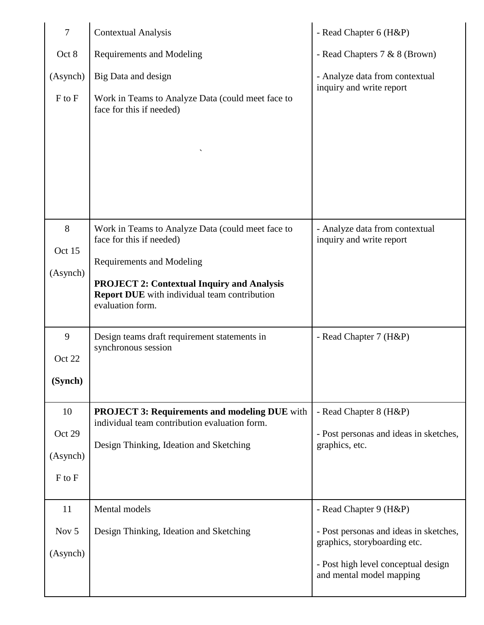| $\overline{7}$ | <b>Contextual Analysis</b>                                                                                                   | - Read Chapter 6 (H&P)                                                 |
|----------------|------------------------------------------------------------------------------------------------------------------------------|------------------------------------------------------------------------|
| Oct 8          | <b>Requirements and Modeling</b>                                                                                             | - Read Chapters 7 & 8 (Brown)                                          |
| (Asynch)       | Big Data and design                                                                                                          | - Analyze data from contextual<br>inquiry and write report             |
| $F$ to $F$     | Work in Teams to Analyze Data (could meet face to<br>face for this if needed)                                                |                                                                        |
|                |                                                                                                                              |                                                                        |
|                |                                                                                                                              |                                                                        |
| 8<br>Oct 15    | Work in Teams to Analyze Data (could meet face to<br>face for this if needed)                                                | - Analyze data from contextual<br>inquiry and write report             |
| (Asynch)       | <b>Requirements and Modeling</b>                                                                                             |                                                                        |
|                | <b>PROJECT 2: Contextual Inquiry and Analysis</b><br><b>Report DUE</b> with individual team contribution<br>evaluation form. |                                                                        |
| 9              | Design teams draft requirement statements in<br>synchronous session                                                          | - Read Chapter 7 (H&P)                                                 |
| Oct 22         |                                                                                                                              |                                                                        |
| (Synch)        |                                                                                                                              |                                                                        |
| 10             | <b>PROJECT 3: Requirements and modeling DUE</b> with<br>individual team contribution evaluation form.                        | - Read Chapter 8 (H&P)                                                 |
| Oct 29         | Design Thinking, Ideation and Sketching                                                                                      | - Post personas and ideas in sketches,<br>graphics, etc.               |
| (Asynch)       |                                                                                                                              |                                                                        |
| $F$ to $F$     |                                                                                                                              |                                                                        |
| 11             | Mental models                                                                                                                | - Read Chapter 9 (H&P)                                                 |
| Nov 5          | Design Thinking, Ideation and Sketching                                                                                      | - Post personas and ideas in sketches,<br>graphics, storyboarding etc. |
| (Asynch)       |                                                                                                                              | - Post high level conceptual design<br>and mental model mapping        |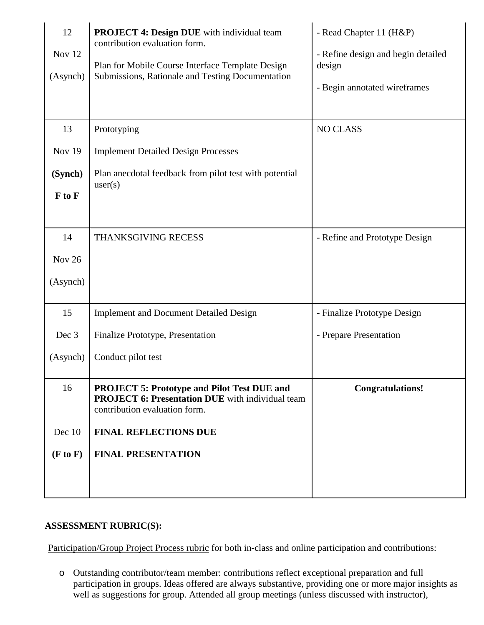| 12<br>Nov 12<br>(Asynch) | <b>PROJECT 4: Design DUE</b> with individual team<br>contribution evaluation form.<br>Plan for Mobile Course Interface Template Design<br>Submissions, Rationale and Testing Documentation | - Read Chapter 11 (H&P)<br>- Refine design and begin detailed<br>design<br>- Begin annotated wireframes |
|--------------------------|--------------------------------------------------------------------------------------------------------------------------------------------------------------------------------------------|---------------------------------------------------------------------------------------------------------|
| 13                       | Prototyping                                                                                                                                                                                | <b>NO CLASS</b>                                                                                         |
| <b>Nov 19</b>            | <b>Implement Detailed Design Processes</b>                                                                                                                                                 |                                                                                                         |
| (Synch)                  | Plan anecdotal feedback from pilot test with potential                                                                                                                                     |                                                                                                         |
| F to F                   | user(s)                                                                                                                                                                                    |                                                                                                         |
|                          |                                                                                                                                                                                            |                                                                                                         |
| 14                       | THANKSGIVING RECESS                                                                                                                                                                        | - Refine and Prototype Design                                                                           |
| Nov 26                   |                                                                                                                                                                                            |                                                                                                         |
| (Asynch)                 |                                                                                                                                                                                            |                                                                                                         |
| 15                       | <b>Implement and Document Detailed Design</b>                                                                                                                                              | - Finalize Prototype Design                                                                             |
| Dec 3                    | Finalize Prototype, Presentation                                                                                                                                                           | - Prepare Presentation                                                                                  |
| (Asynch)                 | Conduct pilot test                                                                                                                                                                         |                                                                                                         |
| 16                       | <b>PROJECT 5: Prototype and Pilot Test DUE and</b><br><b>PROJECT 6: Presentation DUE</b> with individual team<br>contribution evaluation form.                                             | <b>Congratulations!</b>                                                                                 |
| Dec 10                   | <b>FINAL REFLECTIONS DUE</b>                                                                                                                                                               |                                                                                                         |
| (F to F)                 | <b>FINAL PRESENTATION</b>                                                                                                                                                                  |                                                                                                         |
|                          |                                                                                                                                                                                            |                                                                                                         |
|                          |                                                                                                                                                                                            |                                                                                                         |

## **ASSESSMENT RUBRIC(S):**

Participation/Group Project Process rubric for both in-class and online participation and contributions:

o Outstanding contributor/team member: contributions reflect exceptional preparation and full participation in groups. Ideas offered are always substantive, providing one or more major insights as well as suggestions for group. Attended all group meetings (unless discussed with instructor),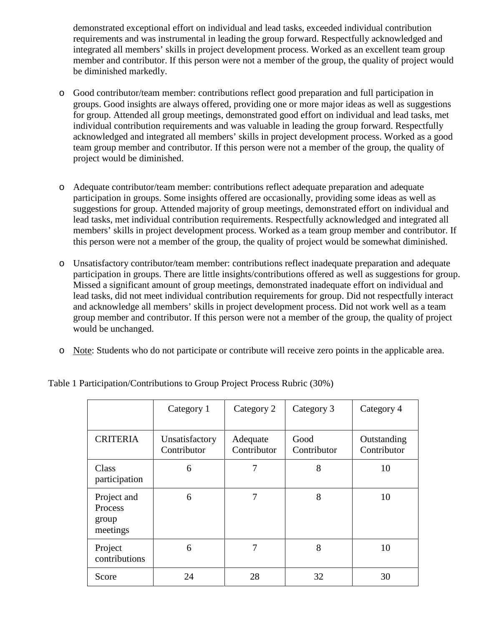demonstrated exceptional effort on individual and lead tasks, exceeded individual contribution requirements and was instrumental in leading the group forward. Respectfully acknowledged and integrated all members' skills in project development process. Worked as an excellent team group member and contributor. If this person were not a member of the group, the quality of project would be diminished markedly.

- o Good contributor/team member: contributions reflect good preparation and full participation in groups. Good insights are always offered, providing one or more major ideas as well as suggestions for group. Attended all group meetings, demonstrated good effort on individual and lead tasks, met individual contribution requirements and was valuable in leading the group forward. Respectfully acknowledged and integrated all members' skills in project development process. Worked as a good team group member and contributor. If this person were not a member of the group, the quality of project would be diminished.
- o Adequate contributor/team member: contributions reflect adequate preparation and adequate participation in groups. Some insights offered are occasionally, providing some ideas as well as suggestions for group. Attended majority of group meetings, demonstrated effort on individual and lead tasks, met individual contribution requirements. Respectfully acknowledged and integrated all members' skills in project development process. Worked as a team group member and contributor. If this person were not a member of the group, the quality of project would be somewhat diminished.
- o Unsatisfactory contributor/team member: contributions reflect inadequate preparation and adequate participation in groups. There are little insights/contributions offered as well as suggestions for group. Missed a significant amount of group meetings, demonstrated inadequate effort on individual and lead tasks, did not meet individual contribution requirements for group. Did not respectfully interact and acknowledge all members' skills in project development process. Did not work well as a team group member and contributor. If this person were not a member of the group, the quality of project would be unchanged.
- o Note: Students who do not participate or contribute will receive zero points in the applicable area.

|                                             | Category 1                    | Category 2              | Category 3          | Category 4                 |
|---------------------------------------------|-------------------------------|-------------------------|---------------------|----------------------------|
| <b>CRITERIA</b>                             | Unsatisfactory<br>Contributor | Adequate<br>Contributor | Good<br>Contributor | Outstanding<br>Contributor |
| Class<br>participation                      | 6                             | 7                       | 8                   | 10                         |
| Project and<br>Process<br>group<br>meetings | 6                             | 7                       | 8                   | 10                         |
| Project<br>contributions                    | 6                             | 7                       | 8                   | 10                         |
| Score                                       | 24                            | 28                      | 32                  | 30                         |

Table 1 Participation/Contributions to Group Project Process Rubric (30%)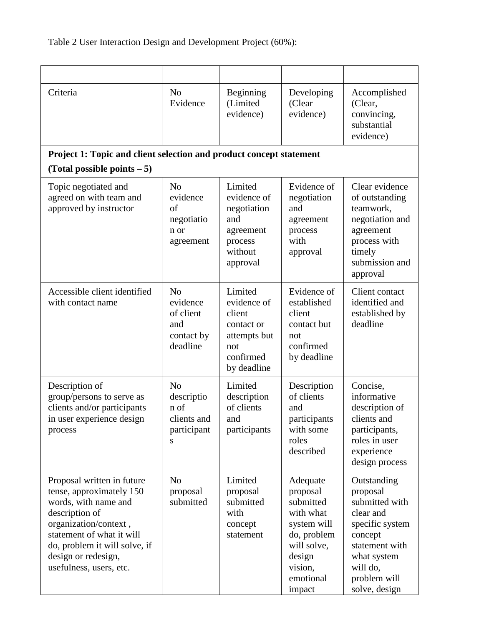| Criteria                                                                                                                                                                                                                                  | N <sub>o</sub><br>Evidence                                               | Beginning<br>(Limited<br>evidence)                                                                | Developing<br>(Clear<br>evidence)                                                                                                       | Accomplished<br>(Clear,<br>convincing,<br>substantial<br>evidence)                                                                                                 |
|-------------------------------------------------------------------------------------------------------------------------------------------------------------------------------------------------------------------------------------------|--------------------------------------------------------------------------|---------------------------------------------------------------------------------------------------|-----------------------------------------------------------------------------------------------------------------------------------------|--------------------------------------------------------------------------------------------------------------------------------------------------------------------|
| Project 1: Topic and client selection and product concept statement<br>(Total possible points $-5$ )                                                                                                                                      |                                                                          |                                                                                                   |                                                                                                                                         |                                                                                                                                                                    |
| Topic negotiated and<br>agreed on with team and<br>approved by instructor                                                                                                                                                                 | N <sub>0</sub><br>evidence<br>of<br>negotiatio<br>n or<br>agreement      | Limited<br>evidence of<br>negotiation<br>and<br>agreement<br>process<br>without<br>approval       | Evidence of<br>negotiation<br>and<br>agreement<br>process<br>with<br>approval                                                           | Clear evidence<br>of outstanding<br>teamwork,<br>negotiation and<br>agreement<br>process with<br>timely<br>submission and<br>approval                              |
| Accessible client identified<br>with contact name                                                                                                                                                                                         | N <sub>0</sub><br>evidence<br>of client<br>and<br>contact by<br>deadline | Limited<br>evidence of<br>client<br>contact or<br>attempts but<br>not<br>confirmed<br>by deadline | Evidence of<br>established<br>client<br>contact but<br>not<br>confirmed<br>by deadline                                                  | Client contact<br>identified and<br>established by<br>deadline                                                                                                     |
| Description of<br>group/persons to serve as<br>clients and/or participants<br>in user experience design<br>process                                                                                                                        | N <sub>o</sub><br>descriptio<br>n of<br>clients and<br>participant<br>S  | Limited<br>description<br>of clients<br>and<br>participants                                       | Description<br>of clients<br>and<br>participants<br>with some<br>roles<br>described                                                     | Concise,<br>informative<br>description of<br>clients and<br>participants,<br>roles in user<br>experience<br>design process                                         |
| Proposal written in future<br>tense, approximately 150<br>words, with name and<br>description of<br>organization/context,<br>statement of what it will<br>do, problem it will solve, if<br>design or redesign,<br>usefulness, users, etc. | N <sub>o</sub><br>proposal<br>submitted                                  | Limited<br>proposal<br>submitted<br>with<br>concept<br>statement                                  | Adequate<br>proposal<br>submitted<br>with what<br>system will<br>do, problem<br>will solve,<br>design<br>vision,<br>emotional<br>impact | Outstanding<br>proposal<br>submitted with<br>clear and<br>specific system<br>concept<br>statement with<br>what system<br>will do,<br>problem will<br>solve, design |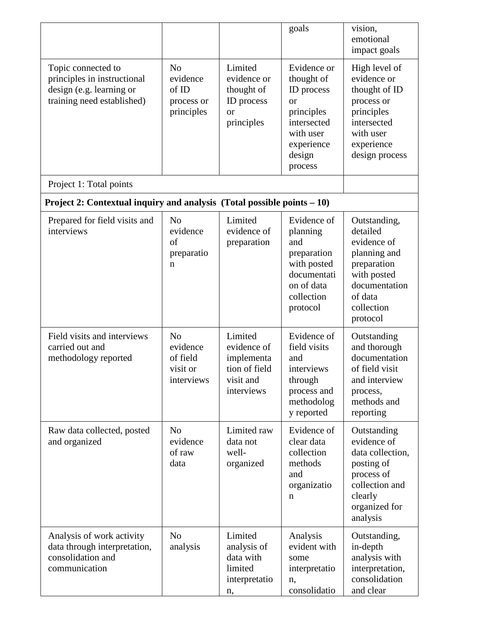|                                                                                                             |                                                                  |                                                                                  | goals                                                                                                                             | vision,<br>emotional<br>impact goals                                                                                                        |
|-------------------------------------------------------------------------------------------------------------|------------------------------------------------------------------|----------------------------------------------------------------------------------|-----------------------------------------------------------------------------------------------------------------------------------|---------------------------------------------------------------------------------------------------------------------------------------------|
| Topic connected to<br>principles in instructional<br>design (e.g. learning or<br>training need established) | N <sub>o</sub><br>evidence<br>of ID<br>process or<br>principles  | Limited<br>evidence or<br>thought of<br>ID process<br><b>or</b><br>principles    | Evidence or<br>thought of<br>ID process<br><b>or</b><br>principles<br>intersected<br>with user<br>experience<br>design<br>process | High level of<br>evidence or<br>thought of ID<br>process or<br>principles<br>intersected<br>with user<br>experience<br>design process       |
| Project 1: Total points                                                                                     |                                                                  |                                                                                  |                                                                                                                                   |                                                                                                                                             |
| Project 2: Contextual inquiry and analysis (Total possible points $-10$ )                                   |                                                                  |                                                                                  |                                                                                                                                   |                                                                                                                                             |
| Prepared for field visits and<br>interviews                                                                 | N <sub>o</sub><br>evidence<br>of<br>preparatio<br>n              | Limited<br>evidence of<br>preparation                                            | Evidence of<br>planning<br>and<br>preparation<br>with posted<br>documentati<br>on of data<br>collection<br>protocol               | Outstanding,<br>detailed<br>evidence of<br>planning and<br>preparation<br>with posted<br>documentation<br>of data<br>collection<br>protocol |
| Field visits and interviews<br>carried out and<br>methodology reported                                      | N <sub>o</sub><br>evidence<br>of field<br>visit or<br>interviews | Limited<br>evidence of<br>implementa<br>tion of field<br>visit and<br>interviews | Evidence of<br>field visits<br>and<br>interviews<br>through<br>process and<br>methodolog<br>y reported                            | Outstanding<br>and thorough<br>documentation<br>of field visit<br>and interview<br>process,<br>methods and<br>reporting                     |
| Raw data collected, posted<br>and organized                                                                 | N <sub>0</sub><br>evidence<br>of raw<br>data                     | Limited raw<br>data not<br>well-<br>organized                                    | Evidence of<br>clear data<br>collection<br>methods<br>and<br>organizatio<br>n                                                     | Outstanding<br>evidence of<br>data collection,<br>posting of<br>process of<br>collection and<br>clearly<br>organized for<br>analysis        |
| Analysis of work activity<br>data through interpretation,<br>consolidation and<br>communication             | N <sub>0</sub><br>analysis                                       | Limited<br>analysis of<br>data with<br>limited<br>interpretatio<br>n,            | Analysis<br>evident with<br>some<br>interpretatio<br>n,<br>consolidatio                                                           | Outstanding,<br>in-depth<br>analysis with<br>interpretation,<br>consolidation<br>and clear                                                  |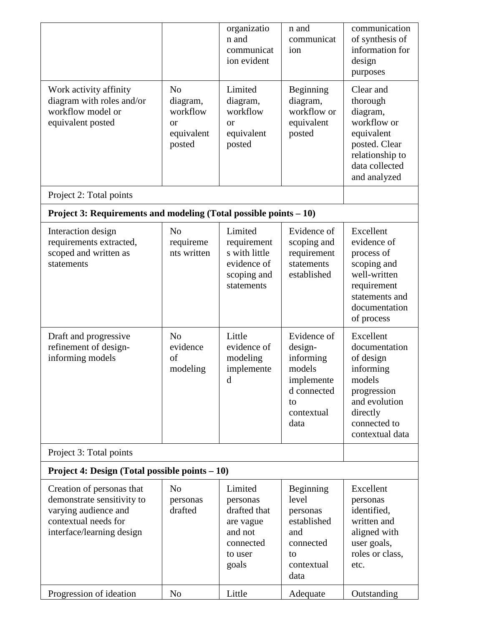|                                                                                                                                      |                                                                                 | organizatio<br>n and<br>communicat<br>ion evident                                            | n and<br>communicat<br>ion                                                                             | communication<br>of synthesis of<br>information for<br>design<br>purposes                                                                     |
|--------------------------------------------------------------------------------------------------------------------------------------|---------------------------------------------------------------------------------|----------------------------------------------------------------------------------------------|--------------------------------------------------------------------------------------------------------|-----------------------------------------------------------------------------------------------------------------------------------------------|
| Work activity affinity<br>diagram with roles and/or<br>workflow model or<br>equivalent posted                                        | N <sub>o</sub><br>diagram,<br>workflow<br><sub>or</sub><br>equivalent<br>posted | Limited<br>diagram,<br>workflow<br>or<br>equivalent<br>posted                                | Beginning<br>diagram,<br>workflow or<br>equivalent<br>posted                                           | Clear and<br>thorough<br>diagram,<br>workflow or<br>equivalent<br>posted. Clear<br>relationship to<br>data collected<br>and analyzed          |
| Project 2: Total points                                                                                                              |                                                                                 |                                                                                              |                                                                                                        |                                                                                                                                               |
| Project 3: Requirements and modeling (Total possible points - 10)                                                                    |                                                                                 |                                                                                              |                                                                                                        |                                                                                                                                               |
| Interaction design<br>requirements extracted,<br>scoped and written as<br>statements                                                 | N <sub>o</sub><br>requireme<br>nts written                                      | Limited<br>requirement<br>s with little<br>evidence of<br>scoping and<br>statements          | Evidence of<br>scoping and<br>requirement<br>statements<br>established                                 | Excellent<br>evidence of<br>process of<br>scoping and<br>well-written<br>requirement<br>statements and<br>documentation<br>of process         |
| Draft and progressive<br>refinement of design-<br>informing models                                                                   | N <sub>o</sub><br>evidence<br>of<br>modeling                                    | Little<br>evidence of<br>modeling<br>implemente<br>d                                         | Evidence of<br>design-<br>informing<br>models<br>implemente<br>d connected<br>to<br>contextual<br>data | Excellent<br>documentation<br>of design<br>informing<br>models<br>progression<br>and evolution<br>directly<br>connected to<br>contextual data |
| Project 3: Total points                                                                                                              |                                                                                 |                                                                                              |                                                                                                        |                                                                                                                                               |
| <b>Project 4: Design (Total possible points <math>-10</math>)</b>                                                                    |                                                                                 |                                                                                              |                                                                                                        |                                                                                                                                               |
| Creation of personas that<br>demonstrate sensitivity to<br>varying audience and<br>contextual needs for<br>interface/learning design | N <sub>o</sub><br>personas<br>drafted                                           | Limited<br>personas<br>drafted that<br>are vague<br>and not<br>connected<br>to user<br>goals | Beginning<br>level<br>personas<br>established<br>and<br>connected<br>to<br>contextual<br>data          | Excellent<br>personas<br>identified,<br>written and<br>aligned with<br>user goals,<br>roles or class,<br>etc.                                 |
| Progression of ideation                                                                                                              | N <sub>o</sub>                                                                  | Little                                                                                       | Adequate                                                                                               | Outstanding                                                                                                                                   |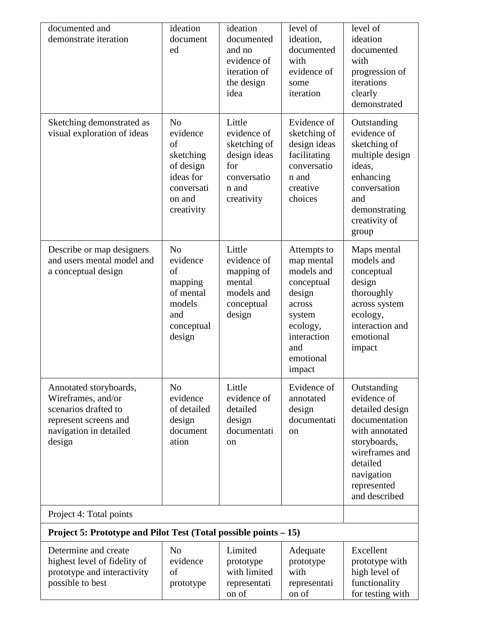| documented and<br>demonstrate iteration                                                                                           | ideation<br>document<br>ed                                                                                    | ideation<br>documented<br>and no<br>evidence of<br>iteration of<br>the design<br>idea              | level of<br>ideation,<br>documented<br>with<br>evidence of<br>some<br>iteration                                                              | level of<br>ideation<br>documented<br>with<br>progression of<br>iterations<br>clearly<br>demonstrated                                                                        |
|-----------------------------------------------------------------------------------------------------------------------------------|---------------------------------------------------------------------------------------------------------------|----------------------------------------------------------------------------------------------------|----------------------------------------------------------------------------------------------------------------------------------------------|------------------------------------------------------------------------------------------------------------------------------------------------------------------------------|
| Sketching demonstrated as<br>visual exploration of ideas                                                                          | N <sub>o</sub><br>evidence<br>of<br>sketching<br>of design<br>ideas for<br>conversati<br>on and<br>creativity | Little<br>evidence of<br>sketching of<br>design ideas<br>for<br>conversatio<br>n and<br>creativity | Evidence of<br>sketching of<br>design ideas<br>facilitating<br>conversatio<br>n and<br>creative<br>choices                                   | Outstanding<br>evidence of<br>sketching of<br>multiple design<br>ideas,<br>enhancing<br>conversation<br>and<br>demonstrating<br>creativity of<br>group                       |
| Describe or map designers<br>and users mental model and<br>a conceptual design                                                    | N <sub>o</sub><br>evidence<br>of<br>mapping<br>of mental<br>models<br>and<br>conceptual<br>design             | Little<br>evidence of<br>mapping of<br>mental<br>models and<br>conceptual<br>design                | Attempts to<br>map mental<br>models and<br>conceptual<br>design<br>across<br>system<br>ecology,<br>interaction<br>and<br>emotional<br>impact | Maps mental<br>models and<br>conceptual<br>design<br>thoroughly<br>across system<br>ecology,<br>interaction and<br>emotional<br>impact                                       |
| Annotated storyboards,<br>Wireframes, and/or<br>scenarios drafted to<br>represent screens and<br>navigation in detailed<br>design | N <sub>o</sub><br>evidence<br>of detailed<br>design<br>document<br>ation                                      | Little<br>evidence of<br>detailed<br>design<br>documentati<br>on                                   | Evidence of<br>annotated<br>design<br>documentati<br>on                                                                                      | Outstanding<br>evidence of<br>detailed design<br>documentation<br>with annotated<br>storyboards,<br>wireframes and<br>detailed<br>navigation<br>represented<br>and described |
| Project 4: Total points                                                                                                           |                                                                                                               |                                                                                                    |                                                                                                                                              |                                                                                                                                                                              |
| Project 5: Prototype and Pilot Test (Total possible points – 15)                                                                  |                                                                                                               |                                                                                                    |                                                                                                                                              |                                                                                                                                                                              |
| Determine and create<br>highest level of fidelity of<br>prototype and interactivity<br>possible to best                           | N <sub>0</sub><br>evidence<br>of<br>prototype                                                                 | Limited<br>prototype<br>with limited<br>representati<br>on of                                      | Adequate<br>prototype<br>with<br>representati<br>on of                                                                                       | Excellent<br>prototype with<br>high level of<br>functionality<br>for testing with                                                                                            |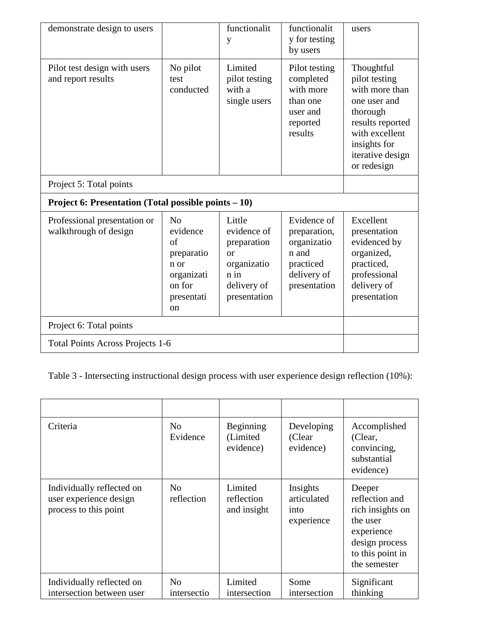| demonstrate design to users                           |                                                                                                           | functionalit<br>y                                                                                        | functionalit<br>y for testing<br>by users                                                       | users                                                                                                                                                              |
|-------------------------------------------------------|-----------------------------------------------------------------------------------------------------------|----------------------------------------------------------------------------------------------------------|-------------------------------------------------------------------------------------------------|--------------------------------------------------------------------------------------------------------------------------------------------------------------------|
| Pilot test design with users<br>and report results    | No pilot<br>test<br>conducted                                                                             | Limited<br>pilot testing<br>with a<br>single users                                                       | Pilot testing<br>completed<br>with more<br>than one<br>user and<br>reported<br>results          | Thoughtful<br>pilot testing<br>with more than<br>one user and<br>thorough<br>results reported<br>with excellent<br>insights for<br>iterative design<br>or redesign |
| Project 5: Total points                               |                                                                                                           |                                                                                                          |                                                                                                 |                                                                                                                                                                    |
| Project 6: Presentation (Total possible points – 10)  |                                                                                                           |                                                                                                          |                                                                                                 |                                                                                                                                                                    |
| Professional presentation or<br>walkthrough of design | No<br>evidence<br>$\sigma$ f<br>preparatio<br>n or<br>organizati<br>on for<br>presentati<br><sub>on</sub> | Little<br>evidence of<br>preparation<br>$\alpha$<br>organizatio<br>$n$ in<br>delivery of<br>presentation | Evidence of<br>preparation,<br>organizatio<br>n and<br>practiced<br>delivery of<br>presentation | Excellent<br>presentation<br>evidenced by<br>organized,<br>practiced,<br>professional<br>delivery of<br>presentation                                               |
| Project 6: Total points                               |                                                                                                           |                                                                                                          |                                                                                                 |                                                                                                                                                                    |
| <b>Total Points Across Projects 1-6</b>               |                                                                                                           |                                                                                                          |                                                                                                 |                                                                                                                                                                    |

Table 3 - Intersecting instructional design process with user experience design reflection (10%):

| Criteria                                                                     | N <sub>o</sub><br>Evidence    | Beginning<br>(Limited<br>evidence)   | Developing<br>(Clear<br>evidence)             | Accomplished<br>(Clear,<br>convincing,<br>substantial<br>evidence)                                                           |
|------------------------------------------------------------------------------|-------------------------------|--------------------------------------|-----------------------------------------------|------------------------------------------------------------------------------------------------------------------------------|
| Individually reflected on<br>user experience design<br>process to this point | N <sub>o</sub><br>reflection  | Limited<br>reflection<br>and insight | Insights<br>articulated<br>into<br>experience | Deeper<br>reflection and<br>rich insights on<br>the user<br>experience<br>design process<br>to this point in<br>the semester |
| Individually reflected on<br>intersection between user                       | N <sub>0</sub><br>intersectio | Limited<br>intersection              | Some<br>intersection                          | Significant<br>thinking                                                                                                      |